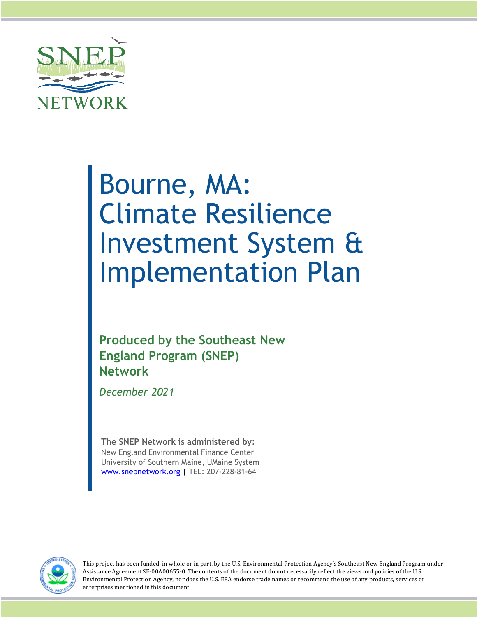

# Bourne, MA: Climate Resilience Investment System & Implementation Plan

**Produced by the Southeast New England Program (SNEP) Network**

*December 2021*

**The SNEP Network is administered by:** New England Environmental Finance Center University of Southern Maine, UMaine System www.snepnetwork.org | TEL: 207-228-81-64



This project has been funded, in whole or in part, by the U.S. Environmental Protection Agency's Southeast New England Program under Assistance Agreement SE-00A00655-0. The contents of the document do not necessarily reflect the views and policies of the U.S Environmental Protection Agency, nor does the U.S. EPA endorse trade names or recommend the use of any products, services or enterprises mentioned in this document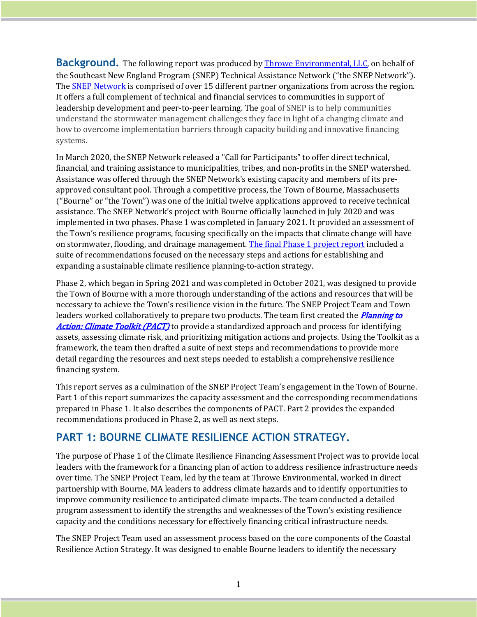**Background.** The following report was produced by **Throwe Environmental, LLC**, on behalf of the Southeast New England Program (SNEP) Technical Assistance Network ("the SNEP Network"). The **SNEP Network** is comprised of over 15 different partner organizations from across the region. It offers a full complement of technical and financial services to communities in support of leadership development and peer-to-peer learning. The goal of SNEP is to help communities understand the stormwater management challenges they face in light of a changing climate and how to overcome implementation barriers through capacity building and innovative financing systems.

In March 2020, the SNEP Network released a "Call for Participants" to offer direct technical, financial, and training assistance to municipalities, tribes, and non-profits in the SNEP watershed. Assistance was offered through the SNEP Network's existing capacity and members of its preapproved consultant pool. Through a competitive process, the Town of Bourne, Massachusetts ("Bourne" or "the Town") was one of the initial twelve applications approved to receive technical assistance. The SNEP Network's project with Bourne officially launched in July 2020 and was implemented in two phases. Phase 1 was completed in January 2021. It provided an assessment of the Town's resilience programs, focusing specifically on the impacts that climate change will have on stormwater, flooding, and drainage management. The final Phase 1 project report included a suite of recommendations focused on the necessary steps and actions for establishing and expanding a sustainable climate resilience planning-to-action strategy.

Phase 2, which began in Spring 2021 and was completed in October 2021, was designed to provide the Town of Bourne with a more thorough understanding of the actions and resources that will be necessary to achieve the Town's resilience vision in the future. The SNEP Project Team and Town leaders worked collaboratively to prepare two products. The team first created the *Planning to* Action: Climate Toolkit (PACT) to provide a standardized approach and process for identifying assets, assessing climate risk, and prioritizing mitigation actions and projects. Using the Toolkit as a framework, the team then drafted a suite of next steps and recommendations to provide more detail regarding the resources and next steps needed to establish a comprehensive resilience financing system.

This report serves as a culmination of the SNEP Project Team's engagement in the Town of Bourne. Part 1 of this report summarizes the capacity assessment and the corresponding recommendations prepared in Phase 1. It also describes the components of PACT. Part 2 provides the expanded recommendations produced in Phase 2, as well as next steps.

## **PART 1: BOURNE CLIMATE RESILIENCE ACTION STRATEGY.**

The purpose of Phase 1 of the Climate Resilience Financing Assessment Project was to provide local leaders with the framework for a financing plan of action to address resilience infrastructure needs over time. The SNEP Project Team, led by the team at Throwe Environmental, worked in direct partnership with Bourne, MA leaders to address climate hazards and to identify opportunities to improve community resilience to anticipated climate impacts. The team conducted a detailed program assessment to identify the strengths and weaknesses of the Town's existing resilience capacity and the conditions necessary for effectively financing critical infrastructure needs.

The SNEP Project Team used an assessment process based on the core components of the Coastal Resilience Action Strategy. It was designed to enable Bourne leaders to identify the necessary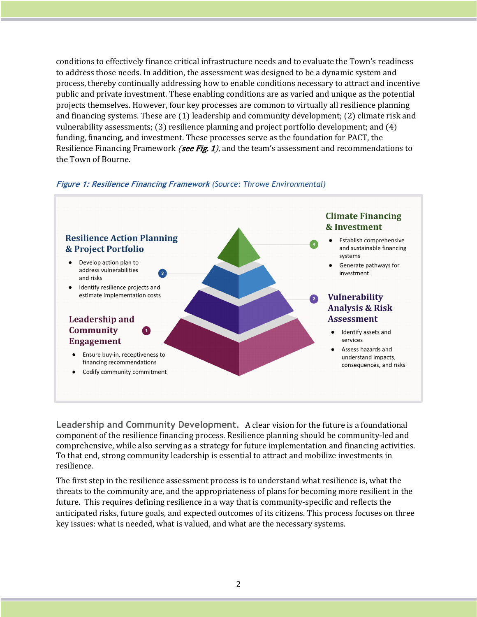conditions to effectively finance critical infrastructure needs and to evaluate the Town's readiness to address those needs. In addition, the assessment was designed to be a dynamic system and process, thereby continually addressing how to enable conditions necessary to attract and incentive public and private investment. These enabling conditions are as varied and unique as the potential projects themselves. However, four key processes are common to virtually all resilience planning and financing systems. These are (1) leadership and community development; (2) climate risk and vulnerability assessments;  $(3)$  resilience planning and project portfolio development; and  $(4)$ funding, financing, and investment. These processes serve as the foundation for PACT, the Resilience Financing Framework *(see Fig. 1)*, and the team's assessment and recommendations to the Town of Bourne.

#### **Figure 1: Resilience Financing Framework** *(Source: Throwe Environmental)*



**Leadership and Community Development.** A clear vision for the future is a foundational component of the resilience financing process. Resilience planning should be community-led and comprehensive, while also serving as a strategy for future implementation and financing activities. To that end, strong community leadership is essential to attract and mobilize investments in resilience. 

The first step in the resilience assessment process is to understand what resilience is, what the threats to the community are, and the appropriateness of plans for becoming more resilient in the future. This requires defining resilience in a way that is community-specific and reflects the anticipated risks, future goals, and expected outcomes of its citizens. This process focuses on three key issues: what is needed, what is valued, and what are the necessary systems.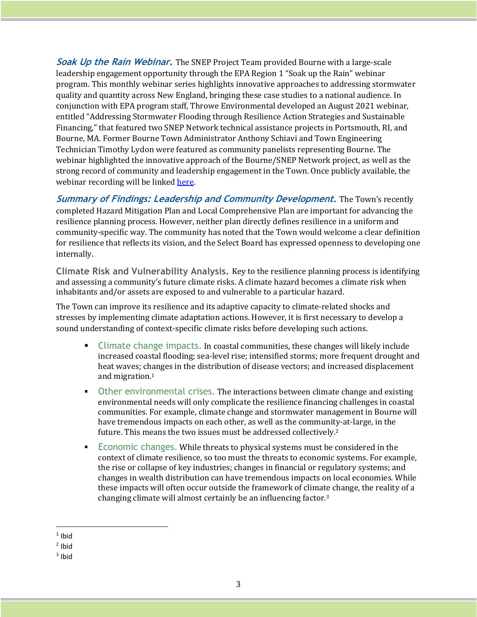**Soak Up the Rain Webinar.** The SNEP Project Team provided Bourne with a large-scale leadership engagement opportunity through the EPA Region 1 "Soak up the Rain" webinar program. This monthly webinar series highlights innovative approaches to addressing stormwater quality and quantity across New England, bringing these case studies to a national audience. In conjunction with EPA program staff, Throwe Environmental developed an August 2021 webinar, entitled "Addressing Stormwater Flooding through Resilience Action Strategies and Sustainable Financing," that featured two SNEP Network technical assistance projects in Portsmouth, RI, and Bourne, MA. Former Bourne Town Administrator Anthony Schiavi and Town Engineering Technician Timothy Lydon were featured as community panelists representing Bourne. The webinar highlighted the innovative approach of the Bourne/SNEP Network project, as well as the strong record of community and leadership engagement in the Town. Once publicly available, the webinar recording will be linked here.

**Summary of Findings: Leadership and Community Development.** The Town's recently completed Hazard Mitigation Plan and Local Comprehensive Plan are important for advancing the resilience planning process. However, neither plan directly defines resilience in a uniform and community-specific way. The community has noted that the Town would welcome a clear definition for resilience that reflects its vision, and the Select Board has expressed openness to developing one internally. 

**Climate Risk and Vulnerability Analysis.** Key to the resilience planning process is identifying and assessing a community's future climate risks. A climate hazard becomes a climate risk when inhabitants and/or assets are exposed to and vulnerable to a particular hazard.

The Town can improve its resilience and its adaptive capacity to climate-related shocks and stresses by implementing climate adaptation actions. However, it is first necessary to develop a sound understanding of context-specific climate risks before developing such actions.

- Climate change impacts. In coastal communities, these changes will likely include increased coastal flooding; sea-level rise; intensified storms; more frequent drought and heat waves; changes in the distribution of disease vectors; and increased displacement and migration.<sup>1</sup>
- Other environmental crises. The interactions between climate change and existing environmental needs will only complicate the resilience financing challenges in coastal communities. For example, climate change and stormwater management in Bourne will have tremendous impacts on each other, as well as the community-at-large, in the future. This means the two issues must be addressed collectively.<sup>2</sup>
- **Economic changes. While threats to physical systems must be considered in the** context of climate resilience, so too must the threats to economic systems. For example, the rise or collapse of key industries; changes in financial or regulatory systems; and changes in wealth distribution can have tremendous impacts on local economies. While these impacts will often occur outside the framework of climate change, the reality of a changing climate will almost certainly be an influencing factor.<sup>3</sup>

 $1$  Ibid

 $2$  Ibid

 $3$  Ibid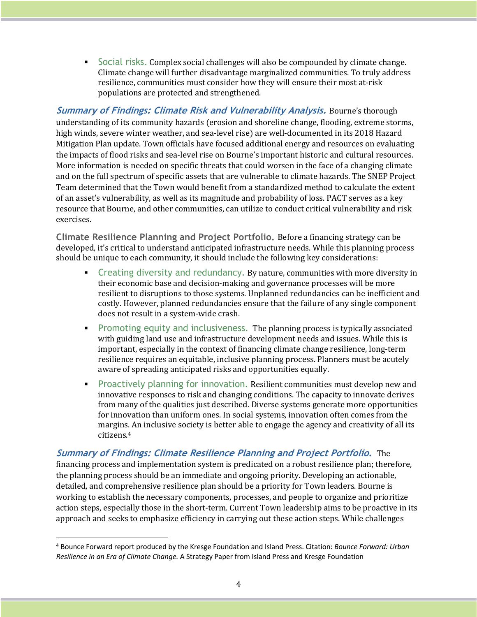■ Social risks. Complex social challenges will also be compounded by climate change. Climate change will further disadvantage marginalized communities. To truly address resilience, communities must consider how they will ensure their most at-risk populations are protected and strengthened.

**Summary of Findings: Climate Risk and Vulnerability Analysis.** Bourne's thorough understanding of its community hazards (erosion and shoreline change, flooding, extreme storms, high winds, severe winter weather, and sea-level rise) are well-documented in its 2018 Hazard Mitigation Plan update. Town officials have focused additional energy and resources on evaluating the impacts of flood risks and sea-level rise on Bourne's important historic and cultural resources. More information is needed on specific threats that could worsen in the face of a changing climate and on the full spectrum of specific assets that are vulnerable to climate hazards. The SNEP Project Team determined that the Town would benefit from a standardized method to calculate the extent of an asset's vulnerability, as well as its magnitude and probability of loss. PACT serves as a key resource that Bourne, and other communities, can utilize to conduct critical vulnerability and risk exercises.

**Climate Resilience Planning and Project Portfolio.** Before a financing strategy can be developed, it's critical to understand anticipated infrastructure needs. While this planning process should be unique to each community, it should include the following key considerations:

- Creating diversity and redundancy. By nature, communities with more diversity in their economic base and decision-making and governance processes will be more resilient to disruptions to those systems. Unplanned redundancies can be inefficient and costly. However, planned redundancies ensure that the failure of any single component does not result in a system-wide crash.
- **•** Promoting equity and inclusiveness. The planning process is typically associated with guiding land use and infrastructure development needs and issues. While this is important, especially in the context of financing climate change resilience, long-term resilience requires an equitable, inclusive planning process. Planners must be acutely aware of spreading anticipated risks and opportunities equally.
- **•** Proactively planning for innovation. Resilient communities must develop new and innovative responses to risk and changing conditions. The capacity to innovate derives from many of the qualities just described. Diverse systems generate more opportunities for innovation than uniform ones. In social systems, innovation often comes from the margins. An inclusive society is better able to engage the agency and creativity of all its citizens.4

**Summary of Findings: Climate Resilience Planning and Project Portfolio.** The financing process and implementation system is predicated on a robust resilience plan; therefore, the planning process should be an immediate and ongoing priority. Developing an actionable, detailed, and comprehensive resilience plan should be a priority for Town leaders. Bourne is working to establish the necessary components, processes, and people to organize and prioritize action steps, especially those in the short-term. Current Town leadership aims to be proactive in its approach and seeks to emphasize efficiency in carrying out these action steps. While challenges

<sup>4</sup> Bounce Forward report produced by the Kresge Foundation and Island Press. Citation: *Bounce Forward: Urban Resilience in an Era of Climate Change.* A Strategy Paper from Island Press and Kresge Foundation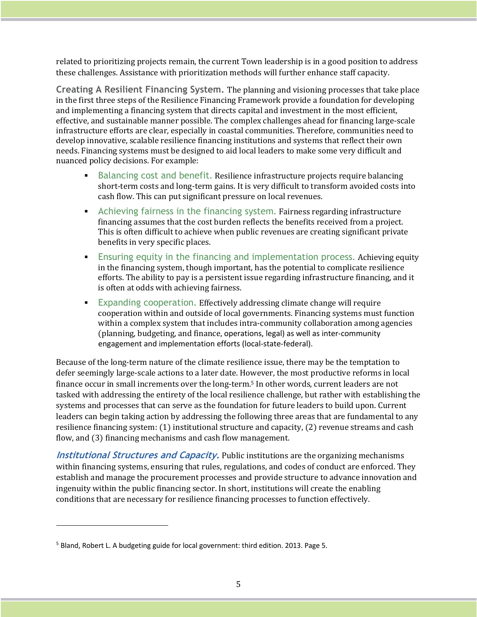related to prioritizing projects remain, the current Town leadership is in a good position to address these challenges. Assistance with prioritization methods will further enhance staff capacity.

**Creating A Resilient Financing System.** The planning and visioning processes that take place in the first three steps of the Resilience Financing Framework provide a foundation for developing and implementing a financing system that directs capital and investment in the most efficient, effective, and sustainable manner possible. The complex challenges ahead for financing large-scale infrastructure efforts are clear, especially in coastal communities. Therefore, communities need to develop innovative, scalable resilience financing institutions and systems that reflect their own needs. Financing systems must be designed to aid local leaders to make some very difficult and nuanced policy decisions. For example:

- **•** Balancing cost and benefit. Resilience infrastructure projects require balancing short-term costs and long-term gains. It is very difficult to transform avoided costs into cash flow. This can put significant pressure on local revenues.
- **EXECO** Achieving fairness in the financing system. Fairness regarding infrastructure financing assumes that the cost burden reflects the benefits received from a project. This is often difficult to achieve when public revenues are creating significant private benefits in very specific places.
- **E**nsuring equity in the financing and implementation process. Achieving equity in the financing system, though important, has the potential to complicate resilience efforts. The ability to pay is a persistent issue regarding infrastructure financing, and it is often at odds with achieving fairness.
- **Expanding cooperation. Effectively addressing climate change will require** cooperation within and outside of local governments. Financing systems must function within a complex system that includes intra-community collaboration among agencies (planning, budgeting, and finance, operations, legal) as well as inter-community engagement and implementation efforts (local-state-federal).

Because of the long-term nature of the climate resilience issue, there may be the temptation to defer seemingly large-scale actions to a later date. However, the most productive reforms in local finance occur in small increments over the long-term.<sup>5</sup> In other words, current leaders are not tasked with addressing the entirety of the local resilience challenge, but rather with establishing the systems and processes that can serve as the foundation for future leaders to build upon. Current leaders can begin taking action by addressing the following three areas that are fundamental to any resilience financing system:  $(1)$  institutional structure and capacity,  $(2)$  revenue streams and cash flow, and (3) financing mechanisms and cash flow management.

**Institutional Structures and Capacity.** Public institutions are the organizing mechanisms within financing systems, ensuring that rules, regulations, and codes of conduct are enforced. They establish and manage the procurement processes and provide structure to advance innovation and ingenuity within the public financing sector. In short, institutions will create the enabling conditions that are necessary for resilience financing processes to function effectively.

<sup>5</sup> Bland, Robert L. A budgeting guide for local government: third edition. 2013. Page 5.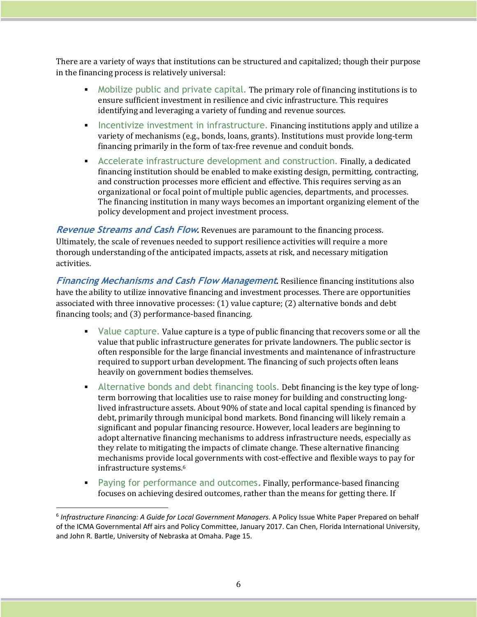There are a variety of ways that institutions can be structured and capitalized; though their purpose in the financing process is relatively universal:

- Mobilize public and private capital. The primary role of financing institutions is to ensure sufficient investment in resilience and civic infrastructure. This requires identifying and leveraging a variety of funding and revenue sources.
- **EXECT** Incentivize investment in infrastructure. Financing institutions apply and utilize a variety of mechanisms (e.g., bonds, loans, grants). Institutions must provide long-term financing primarily in the form of tax-free revenue and conduit bonds.
- **EXEC** Accelerate infrastructure development and construction. Finally, a dedicated financing institution should be enabled to make existing design, permitting, contracting, and construction processes more efficient and effective. This requires serving as an organizational or focal point of multiple public agencies, departments, and processes. The financing institution in many ways becomes an important organizing element of the policy development and project investment process.

**Revenue Streams and Cash Flow.** Revenues are paramount to the financing process. Ultimately, the scale of revenues needed to support resilience activities will require a more thorough understanding of the anticipated impacts, assets at risk, and necessary mitigation activities. 

**Financing Mechanisms and Cash Flow Management**. Resilience financing institutions also have the ability to utilize innovative financing and investment processes. There are opportunities associated with three innovative processes:  $(1)$  value capture;  $(2)$  alternative bonds and debt financing tools; and  $(3)$  performance-based financing.

- Value capture. Value capture is a type of public financing that recovers some or all the value that public infrastructure generates for private landowners. The public sector is often responsible for the large financial investments and maintenance of infrastructure required to support urban development. The financing of such projects often leans heavily on government bodies themselves.
- **EXECT** Alternative bonds and debt financing tools. Debt financing is the key type of longterm borrowing that localities use to raise money for building and constructing longlived infrastructure assets. About 90% of state and local capital spending is financed by debt, primarily through municipal bond markets. Bond financing will likely remain a significant and popular financing resource. However, local leaders are beginning to adopt alternative financing mechanisms to address infrastructure needs, especially as they relate to mitigating the impacts of climate change. These alternative financing mechanisms provide local governments with cost-effective and flexible ways to pay for infrastructure systems.<sup>6</sup>
- **•** Paying for performance and outcomes. Finally, performance-based financing focuses on achieving desired outcomes, rather than the means for getting there. If

<sup>6</sup> *Infrastructure Financing: A Guide for Local Government Managers*. A Policy Issue White Paper Prepared on behalf of the ICMA Governmental Aff airs and Policy Committee, January 2017. Can Chen, Florida International University, and John R. Bartle, University of Nebraska at Omaha. Page 15.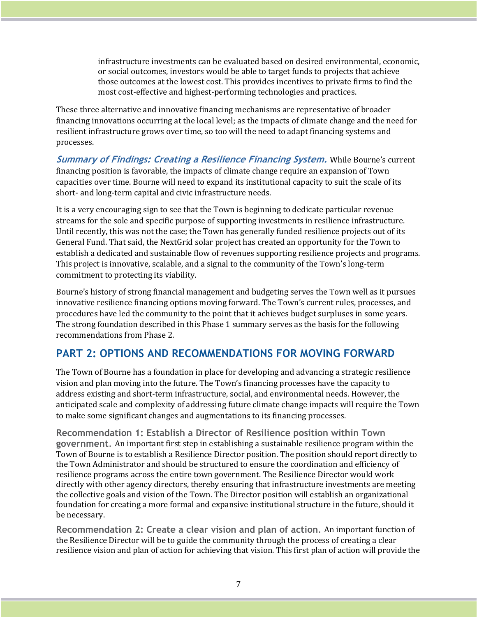$infrared$  infrastructure investments can be evaluated based on desired environmental, economic, or social outcomes, investors would be able to target funds to projects that achieve those outcomes at the lowest cost. This provides incentives to private firms to find the most cost-effective and highest-performing technologies and practices.

These three alternative and innovative financing mechanisms are representative of broader financing innovations occurring at the local level; as the impacts of climate change and the need for resilient infrastructure grows over time, so too will the need to adapt financing systems and processes. 

**Summary of Findings: Creating a Resilience Financing System. While Bourne's current** financing position is favorable, the impacts of climate change require an expansion of Town capacities over time. Bourne will need to expand its institutional capacity to suit the scale of its short- and long-term capital and civic infrastructure needs.

It is a very encouraging sign to see that the Town is beginning to dedicate particular revenue streams for the sole and specific purpose of supporting investments in resilience infrastructure. Until recently, this was not the case; the Town has generally funded resilience projects out of its General Fund. That said, the NextGrid solar project has created an opportunity for the Town to establish a dedicated and sustainable flow of revenues supporting resilience projects and programs. This project is innovative, scalable, and a signal to the community of the Town's long-term commitment to protecting its viability.

Bourne's history of strong financial management and budgeting serves the Town well as it pursues innovative resilience financing options moving forward. The Town's current rules, processes, and procedures have led the community to the point that it achieves budget surpluses in some years. The strong foundation described in this Phase 1 summary serves as the basis for the following recommendations from Phase 2.

## **PART 2: OPTIONS AND RECOMMENDATIONS FOR MOVING FORWARD**

The Town of Bourne has a foundation in place for developing and advancing a strategic resilience vision and plan moving into the future. The Town's financing processes have the capacity to address existing and short-term infrastructure, social, and environmental needs. However, the anticipated scale and complexity of addressing future climate change impacts will require the Town to make some significant changes and augmentations to its financing processes.

**Recommendation 1: Establish a Director of Resilience position within Town government.** An important first step in establishing a sustainable resilience program within the Town of Bourne is to establish a Resilience Director position. The position should report directly to the Town Administrator and should be structured to ensure the coordination and efficiency of resilience programs across the entire town government. The Resilience Director would work directly with other agency directors, thereby ensuring that infrastructure investments are meeting the collective goals and vision of the Town. The Director position will establish an organizational foundation for creating a more formal and expansive institutional structure in the future, should it be necessary.

**Recommendation 2: Create a clear vision and plan of action. An important function of** the Resilience Director will be to guide the community through the process of creating a clear resilience vision and plan of action for achieving that vision. This first plan of action will provide the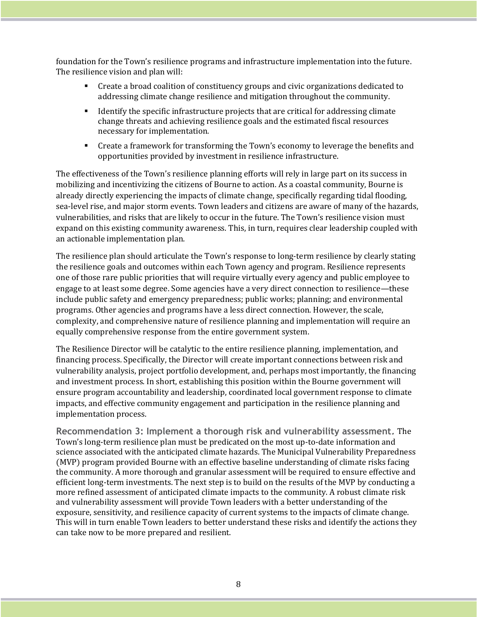foundation for the Town's resilience programs and infrastructure implementation into the future. The resilience vision and plan will:

- Create a broad coalition of constituency groups and civic organizations dedicated to addressing climate change resilience and mitigation throughout the community.
- **•** Identify the specific infrastructure projects that are critical for addressing climate change threats and achieving resilience goals and the estimated fiscal resources necessary for implementation.
- Create a framework for transforming the Town's economy to leverage the benefits and opportunities provided by investment in resilience infrastructure.

The effectiveness of the Town's resilience planning efforts will rely in large part on its success in mobilizing and incentivizing the citizens of Bourne to action. As a coastal community, Bourne is already directly experiencing the impacts of climate change, specifically regarding tidal flooding, sea-level rise, and major storm events. Town leaders and citizens are aware of many of the hazards, vulnerabilities, and risks that are likely to occur in the future. The Town's resilience vision must expand on this existing community awareness. This, in turn, requires clear leadership coupled with an actionable implementation plan.

The resilience plan should articulate the Town's response to long-term resilience by clearly stating the resilience goals and outcomes within each Town agency and program. Resilience represents one of those rare public priorities that will require virtually every agency and public employee to engage to at least some degree. Some agencies have a very direct connection to resilience—these include public safety and emergency preparedness; public works; planning; and environmental programs. Other agencies and programs have a less direct connection. However, the scale, complexity, and comprehensive nature of resilience planning and implementation will require an equally comprehensive response from the entire government system.

The Resilience Director will be catalytic to the entire resilience planning, implementation, and financing process. Specifically, the Director will create important connections between risk and vulnerability analysis, project portfolio development, and, perhaps most importantly, the financing and investment process. In short, establishing this position within the Bourne government will ensure program accountability and leadership, coordinated local government response to climate impacts, and effective community engagement and participation in the resilience planning and implementation process.

**Recommendation 3: Implement a thorough risk and vulnerability assessment.** The Town's long-term resilience plan must be predicated on the most up-to-date information and science associated with the anticipated climate hazards. The Municipal Vulnerability Preparedness (MVP) program provided Bourne with an effective baseline understanding of climate risks facing the community. A more thorough and granular assessment will be required to ensure effective and efficient long-term investments. The next step is to build on the results of the MVP by conducting a more refined assessment of anticipated climate impacts to the community. A robust climate risk and vulnerability assessment will provide Town leaders with a better understanding of the exposure, sensitivity, and resilience capacity of current systems to the impacts of climate change. This will in turn enable Town leaders to better understand these risks and identify the actions they can take now to be more prepared and resilient.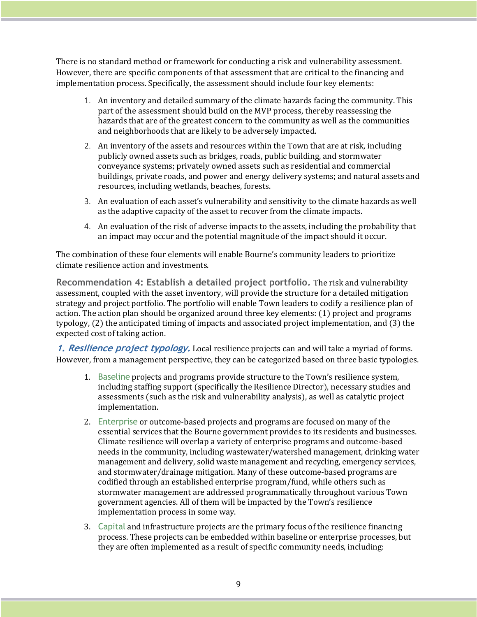There is no standard method or framework for conducting a risk and vulnerability assessment. However, there are specific components of that assessment that are critical to the financing and implementation process. Specifically, the assessment should include four key elements:

- 1. An inventory and detailed summary of the climate hazards facing the community. This part of the assessment should build on the MVP process, thereby reassessing the hazards that are of the greatest concern to the community as well as the communities and neighborhoods that are likely to be adversely impacted.
- 2. An inventory of the assets and resources within the Town that are at risk, including publicly owned assets such as bridges, roads, public building, and stormwater conveyance systems; privately owned assets such as residential and commercial buildings, private roads, and power and energy delivery systems; and natural assets and resources, including wetlands, beaches, forests.
- 3. An evaluation of each asset's vulnerability and sensitivity to the climate hazards as well as the adaptive capacity of the asset to recover from the climate impacts.
- 4. An evaluation of the risk of adverse impacts to the assets, including the probability that an impact may occur and the potential magnitude of the impact should it occur.

The combination of these four elements will enable Bourne's community leaders to prioritize climate resilience action and investments.

**Recommendation 4: Establish a detailed project portfolio. The risk and vulnerability** assessment, coupled with the asset inventory, will provide the structure for a detailed mitigation strategy and project portfolio. The portfolio will enable Town leaders to codify a resilience plan of action. The action plan should be organized around three key elements: (1) project and programs typology, (2) the anticipated timing of impacts and associated project implementation, and (3) the expected cost of taking action.

**1. Resilience project typology.** Local resilience projects can and will take a myriad of forms. However, from a management perspective, they can be categorized based on three basic typologies.

- 1. Baseline projects and programs provide structure to the Town's resilience system, including staffing support (specifically the Resilience Director), necessary studies and assessments (such as the risk and vulnerability analysis), as well as catalytic project implementation.
- 2. Enterprise or outcome-based projects and programs are focused on many of the essential services that the Bourne government provides to its residents and businesses. Climate resilience will overlap a variety of enterprise programs and outcome-based needs in the community, including wastewater/watershed management, drinking water management and delivery, solid waste management and recycling, emergency services, and stormwater/drainage mitigation. Many of these outcome-based programs are codified through an established enterprise program/fund, while others such as stormwater management are addressed programmatically throughout various Town government agencies. All of them will be impacted by the Town's resilience implementation process in some way.
- 3. Capital and infrastructure projects are the primary focus of the resilience financing process. These projects can be embedded within baseline or enterprise processes, but they are often implemented as a result of specific community needs, including: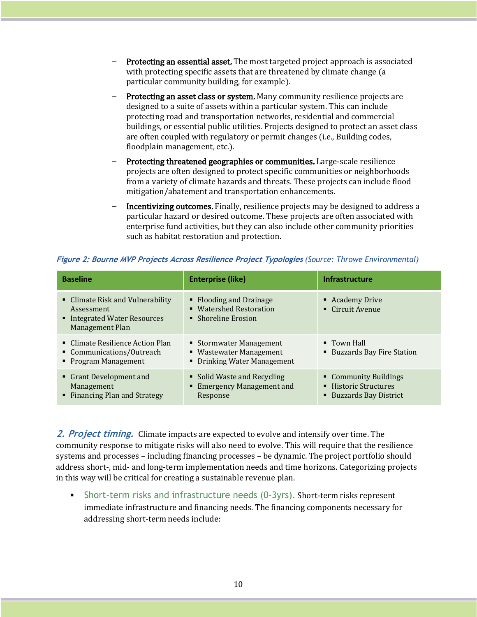- Protecting an essential asset. The most targeted project approach is associated with protecting specific assets that are threatened by climate change (a particular community building, for example).
- Protecting an asset class or system. Many community resilience projects are designed to a suite of assets within a particular system. This can include protecting road and transportation networks, residential and commercial buildings, or essential public utilities. Projects designed to protect an asset class are often coupled with regulatory or permit changes (i.e., Building codes, floodplain management, etc.).
- Protecting threatened geographies or communities. Large-scale resilience projects are often designed to protect specific communities or neighborhoods from a variety of climate hazards and threats. These projects can include flood mitigation/abatement and transportation enhancements.
- Incentivizing outcomes. Finally, resilience projects may be designed to address a particular hazard or desired outcome. These projects are often associated with enterprise fund activities, but they can also include other community priorities such as habitat restoration and protection.

| <b>Baseline</b>                                                                                          | <b>Enterprise (like)</b>                                                          | <b>Infrastructure</b>                                                     |
|----------------------------------------------------------------------------------------------------------|-----------------------------------------------------------------------------------|---------------------------------------------------------------------------|
| • Climate Risk and Vulnerability<br>Assessment<br>■ Integrated Water Resources<br><b>Management Plan</b> | • Flooding and Drainage<br>• Watershed Restoration<br>• Shoreline Erosion         | • Academy Drive<br>• Circuit Avenue                                       |
| • Climate Resilience Action Plan<br>• Communications/Outreach<br>• Program Management                    | ■ Stormwater Management<br>■ Wastewater Management<br>• Drinking Water Management | $\blacksquare$ Town Hall<br>■ Buzzards Bay Fire Station                   |
| • Grant Development and<br>Management<br>• Financing Plan and Strategy                                   | • Solid Waste and Recycling<br>• Emergency Management and<br>Response             | • Community Buildings<br>■ Historic Structures<br>■ Buzzards Bay District |

|  |  | Figure 2: Bourne MVP Projects Across Resilience Project Typologies (Source: Throwe Environmental) |
|--|--|---------------------------------------------------------------------------------------------------|

**2.** Project timing. Climate impacts are expected to evolve and intensify over time. The community response to mitigate risks will also need to evolve. This will require that the resilience systems and processes – including financing processes – be dynamic. The project portfolio should address short-, mid- and long-term implementation needs and time horizons. Categorizing projects in this way will be critical for creating a sustainable revenue plan.

**Short-term risks and infrastructure needs (0-3yrs). Short-term risks represent** immediate infrastructure and financing needs. The financing components necessary for addressing short-term needs include: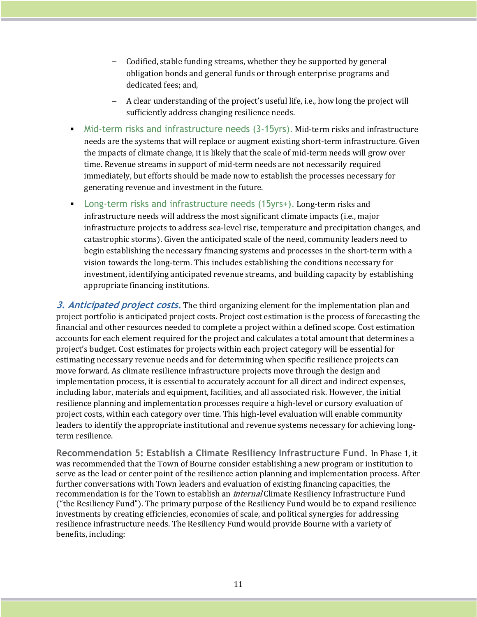- Codified, stable funding streams, whether they be supported by general obligation bonds and general funds or through enterprise programs and dedicated fees: and,
- A clear understanding of the project's useful life, i.e., how long the project will sufficiently address changing resilience needs.
- Mid-term risks and infrastructure needs (3-15yrs). Mid-term risks and infrastructure needs are the systems that will replace or augment existing short-term infrastructure. Given the impacts of climate change, it is likely that the scale of mid-term needs will grow over time. Revenue streams in support of mid-term needs are not necessarily required immediately, but efforts should be made now to establish the processes necessary for generating revenue and investment in the future.
- **•** Long-term risks and infrastructure needs  $(15\gamma rs)$ . Long-term risks and infrastructure needs will address the most significant climate impacts (i.e., major infrastructure projects to address sea-level rise, temperature and precipitation changes, and catastrophic storms). Given the anticipated scale of the need, community leaders need to begin establishing the necessary financing systems and processes in the short-term with a vision towards the long-term. This includes establishing the conditions necessary for investment, identifying anticipated revenue streams, and building capacity by establishing appropriate financing institutions.

**3. Anticipated project costs.** The third organizing element for the implementation plan and project portfolio is anticipated project costs. Project cost estimation is the process of forecasting the financial and other resources needed to complete a project within a defined scope. Cost estimation accounts for each element required for the project and calculates a total amount that determines a project's budget. Cost estimates for projects within each project category will be essential for estimating necessary revenue needs and for determining when specific resilience projects can move forward. As climate resilience infrastructure projects move through the design and implementation process, it is essential to accurately account for all direct and indirect expenses, including labor, materials and equipment, facilities, and all associated risk. However, the initial resilience planning and implementation processes require a high-level or cursory evaluation of project costs, within each category over time. This high-level evaluation will enable community leaders to identify the appropriate institutional and revenue systems necessary for achieving longterm resilience.

**Recommendation 5: Establish a Climate Resiliency Infrastructure Fund. In Phase 1, it** was recommended that the Town of Bourne consider establishing a new program or institution to serve as the lead or center point of the resilience action planning and implementation process. After further conversations with Town leaders and evaluation of existing financing capacities, the recommendation is for the Town to establish an *internal* Climate Resiliency Infrastructure Fund ("the Resiliency Fund"). The primary purpose of the Resiliency Fund would be to expand resilience investments by creating efficiencies, economies of scale, and political synergies for addressing resilience infrastructure needs. The Resiliency Fund would provide Bourne with a variety of benefits, including: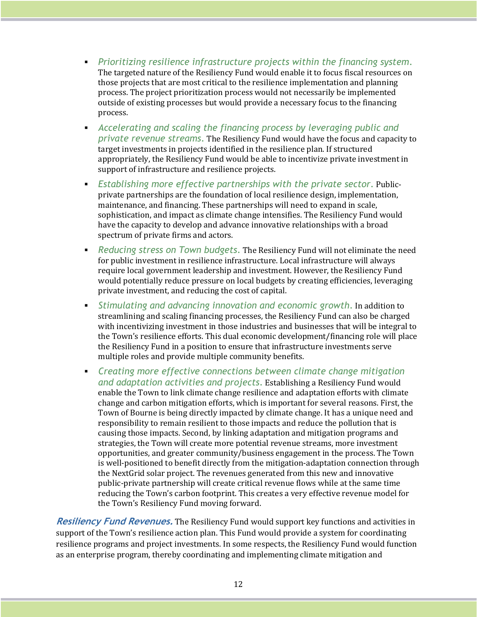- § *Prioritizing resilience infrastructure projects within the financing system*. The targeted nature of the Resiliency Fund would enable it to focus fiscal resources on those projects that are most critical to the resilience implementation and planning process. The project prioritization process would not necessarily be implemented outside of existing processes but would provide a necessary focus to the financing process.
- § *Accelerating and scaling the financing process by leveraging public and private revenue streams*. The Resiliency Fund would have the focus and capacity to target investments in projects identified in the resilience plan. If structured appropriately, the Resiliency Fund would be able to incentivize private investment in support of infrastructure and resilience projects.
- § *Establishing more effective partnerships with the private sector*. Publicprivate partnerships are the foundation of local resilience design, implementation, maintenance, and financing. These partnerships will need to expand in scale, sophistication, and impact as climate change intensifies. The Resiliency Fund would have the capacity to develop and advance innovative relationships with a broad spectrum of private firms and actors.
- **•** Reducing stress on Town budgets. The Resiliency Fund will not eliminate the need for public investment in resilience infrastructure. Local infrastructure will always require local government leadership and investment. However, the Resiliency Fund would potentially reduce pressure on local budgets by creating efficiencies, leveraging private investment, and reducing the cost of capital.
- **•** Stimulating and advancing innovation and economic growth. In addition to streamlining and scaling financing processes, the Resiliency Fund can also be charged with incentivizing investment in those industries and businesses that will be integral to the Town's resilience efforts. This dual economic development/financing role will place the Resiliency Fund in a position to ensure that infrastructure investments serve multiple roles and provide multiple community benefits.
- § *Creating more effective connections between climate change mitigation*  and adaptation activities and projects. Establishing a Resiliency Fund would enable the Town to link climate change resilience and adaptation efforts with climate change and carbon mitigation efforts, which is important for several reasons. First, the Town of Bourne is being directly impacted by climate change. It has a unique need and responsibility to remain resilient to those impacts and reduce the pollution that is causing those impacts. Second, by linking adaptation and mitigation programs and strategies, the Town will create more potential revenue streams, more investment opportunities, and greater community/business engagement in the process. The Town is well-positioned to benefit directly from the mitigation-adaptation connection through the NextGrid solar project. The revenues generated from this new and innovative public-private partnership will create critical revenue flows while at the same time reducing the Town's carbon footprint. This creates a very effective revenue model for the Town's Resiliency Fund moving forward.

**Resiliency Fund Revenues.** The Resiliency Fund would support key functions and activities in support of the Town's resilience action plan. This Fund would provide a system for coordinating resilience programs and project investments. In some respects, the Resiliency Fund would function as an enterprise program, thereby coordinating and implementing climate mitigation and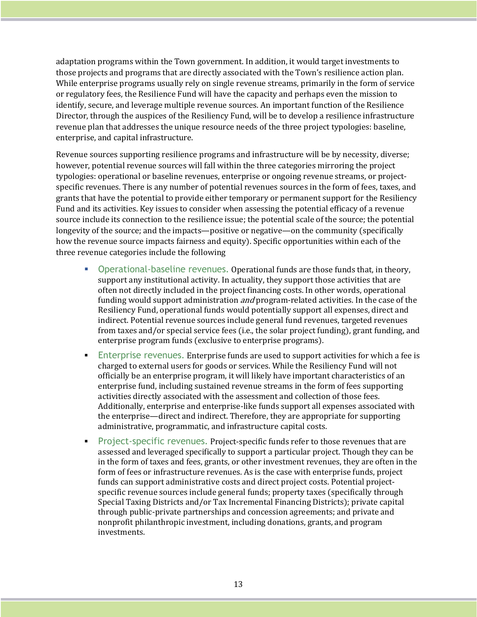adaptation programs within the Town government. In addition, it would target investments to those projects and programs that are directly associated with the Town's resilience action plan. While enterprise programs usually rely on single revenue streams, primarily in the form of service or regulatory fees, the Resilience Fund will have the capacity and perhaps even the mission to identify, secure, and leverage multiple revenue sources. An important function of the Resilience Director, through the auspices of the Resiliency Fund, will be to develop a resilience infrastructure revenue plan that addresses the unique resource needs of the three project typologies: baseline, enterprise, and capital infrastructure.

Revenue sources supporting resilience programs and infrastructure will be by necessity, diverse; however, potential revenue sources will fall within the three categories mirroring the project typologies: operational or baseline revenues, enterprise or ongoing revenue streams, or projectspecific revenues. There is any number of potential revenues sources in the form of fees, taxes, and grants that have the potential to provide either temporary or permanent support for the Resiliency Fund and its activities. Key issues to consider when assessing the potential efficacy of a revenue source include its connection to the resilience issue; the potential scale of the source; the potential longevity of the source; and the impacts—positive or negative—on the community (specifically how the revenue source impacts fairness and equity). Specific opportunities within each of the three revenue categories include the following

- **Operational-baseline revenues. Operational funds are those funds that, in theory,** support any institutional activity. In actuality, they support those activities that are often not directly included in the project financing costs. In other words, operational funding would support administration *and* program-related activities. In the case of the Resiliency Fund, operational funds would potentially support all expenses, direct and indirect. Potential revenue sources include general fund revenues, targeted revenues from taxes and/or special service fees (i.e., the solar project funding), grant funding, and enterprise program funds (exclusive to enterprise programs).
- Enterprise revenues. Enterprise funds are used to support activities for which a fee is charged to external users for goods or services. While the Resiliency Fund will not officially be an enterprise program, it will likely have important characteristics of an enterprise fund, including sustained revenue streams in the form of fees supporting activities directly associated with the assessment and collection of those fees. Additionally, enterprise and enterprise-like funds support all expenses associated with the enterprise—direct and indirect. Therefore, they are appropriate for supporting administrative, programmatic, and infrastructure capital costs.
- **•** Project-specific revenues. Project-specific funds refer to those revenues that are assessed and leveraged specifically to support a particular project. Though they can be in the form of taxes and fees, grants, or other investment revenues, they are often in the form of fees or infrastructure revenues. As is the case with enterprise funds, project funds can support administrative costs and direct project costs. Potential projectspecific revenue sources include general funds; property taxes (specifically through Special Taxing Districts and/or Tax Incremental Financing Districts); private capital through public-private partnerships and concession agreements; and private and nonprofit philanthropic investment, including donations, grants, and program investments.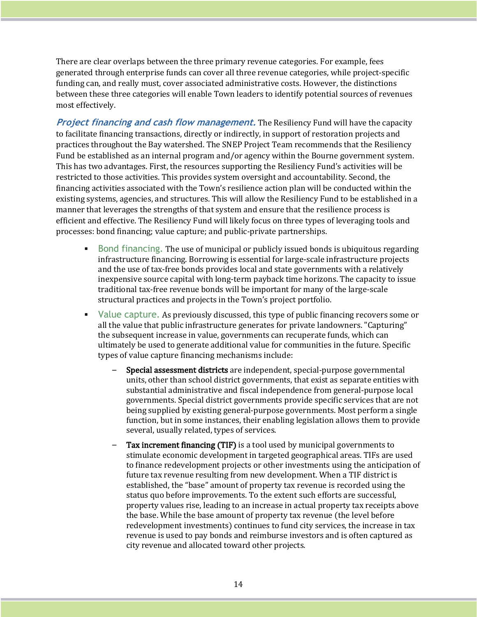There are clear overlaps between the three primary revenue categories. For example, fees generated through enterprise funds can cover all three revenue categories, while project-specific funding can, and really must, cover associated administrative costs. However, the distinctions between these three categories will enable Town leaders to identify potential sources of revenues most effectively.

**Project financing and cash flow management.** The Resiliency Fund will have the capacity to facilitate financing transactions, directly or indirectly, in support of restoration projects and practices throughout the Bay watershed. The SNEP Project Team recommends that the Resiliency Fund be established as an internal program and/or agency within the Bourne government system. This has two advantages. First, the resources supporting the Resiliency Fund's activities will be restricted to those activities. This provides system oversight and accountability. Second, the financing activities associated with the Town's resilience action plan will be conducted within the existing systems, agencies, and structures. This will allow the Resiliency Fund to be established in a manner that leverages the strengths of that system and ensure that the resilience process is efficient and effective. The Resiliency Fund will likely focus on three types of leveraging tools and processes: bond financing; value capture; and public-private partnerships.

- **•** Bond financing. The use of municipal or publicly issued bonds is ubiquitous regarding infrastructure financing. Borrowing is essential for large-scale infrastructure projects and the use of tax-free bonds provides local and state governments with a relatively inexpensive source capital with long-term payback time horizons. The capacity to issue traditional tax-free revenue bonds will be important for many of the large-scale structural practices and projects in the Town's project portfolio.
- Value capture. As previously discussed, this type of public financing recovers some or all the value that public infrastructure generates for private landowners. "Capturing" the subsequent increase in value, governments can recuperate funds, which can ultimately be used to generate additional value for communities in the future. Specific types of value capture financing mechanisms include:
	- Special assessment districts are independent, special-purpose governmental units, other than school district governments, that exist as separate entities with substantial administrative and fiscal independence from general-purpose local governments. Special district governments provide specific services that are not being supplied by existing general-purpose governments. Most perform a single function, but in some instances, their enabling legislation allows them to provide several, usually related, types of services.
	- Tax increment financing (TIF) is a tool used by municipal governments to stimulate economic development in targeted geographical areas. TIFs are used to finance redevelopment projects or other investments using the anticipation of future tax revenue resulting from new development. When a TIF district is established, the "base" amount of property tax revenue is recorded using the status quo before improvements. To the extent such efforts are successful, property values rise, leading to an increase in actual property tax receipts above the base. While the base amount of property tax revenue (the level before redevelopment investments) continues to fund city services, the increase in tax revenue is used to pay bonds and reimburse investors and is often captured as city revenue and allocated toward other projects.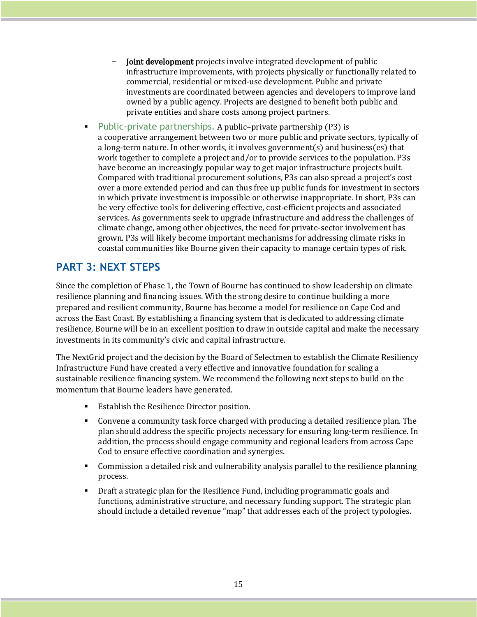- **Joint development** projects involve integrated development of public infrastructure improvements, with projects physically or functionally related to commercial, residential or mixed-use development. Public and private investments are coordinated between agencies and developers to improve land owned by a public agency. Projects are designed to benefit both public and private entities and share costs among project partners.
- **Public-private partnerships. A public-private partnership (P3) is** a cooperative arrangement between two or more public and private sectors, typically of a long-term nature. In other words, it involves government(s) and business(es) that work together to complete a project and/or to provide services to the population. P3s have become an increasingly popular way to get major infrastructure projects built. Compared with traditional procurement solutions, P3s can also spread a project's cost over a more extended period and can thus free up public funds for investment in sectors in which private investment is impossible or otherwise inappropriate. In short, P3s can be very effective tools for delivering effective, cost-efficient projects and associated services. As governments seek to upgrade infrastructure and address the challenges of climate change, among other objectives, the need for private-sector involvement has grown. P3s will likely become important mechanisms for addressing climate risks in coastal communities like Bourne given their capacity to manage certain types of risk.

## **PART 3: NEXT STEPS**

Since the completion of Phase 1, the Town of Bourne has continued to show leadership on climate resilience planning and financing issues. With the strong desire to continue building a more prepared and resilient community, Bourne has become a model for resilience on Cape Cod and across the East Coast. By establishing a financing system that is dedicated to addressing climate resilience, Bourne will be in an excellent position to draw in outside capital and make the necessary investments in its community's civic and capital infrastructure.

The NextGrid project and the decision by the Board of Selectmen to establish the Climate Resiliency Infrastructure Fund have created a very effective and innovative foundation for scaling a sustainable resilience financing system. We recommend the following next steps to build on the momentum that Bourne leaders have generated.

- Establish the Resilience Director position.
- Convene a community task force charged with producing a detailed resilience plan. The plan should address the specific projects necessary for ensuring long-term resilience. In addition, the process should engage community and regional leaders from across Cape Cod to ensure effective coordination and synergies.
- Commission a detailed risk and vulnerability analysis parallel to the resilience planning process.
- **•** Draft a strategic plan for the Resilience Fund, including programmatic goals and functions, administrative structure, and necessary funding support. The strategic plan should include a detailed revenue "map" that addresses each of the project typologies.